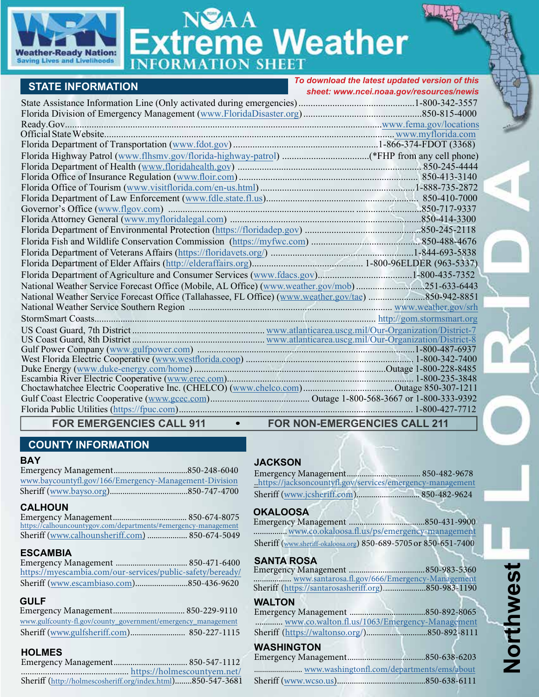

# eme Weather

|                                                                                                      | To download the latest updated version of this |
|------------------------------------------------------------------------------------------------------|------------------------------------------------|
| <b>STATE INFORMATION</b>                                                                             | sheet: www.ncei.noaa.gov/resources/newis       |
|                                                                                                      |                                                |
|                                                                                                      |                                                |
|                                                                                                      |                                                |
|                                                                                                      |                                                |
|                                                                                                      |                                                |
|                                                                                                      |                                                |
|                                                                                                      |                                                |
|                                                                                                      |                                                |
|                                                                                                      |                                                |
|                                                                                                      |                                                |
|                                                                                                      |                                                |
|                                                                                                      |                                                |
|                                                                                                      |                                                |
|                                                                                                      |                                                |
|                                                                                                      |                                                |
|                                                                                                      |                                                |
|                                                                                                      |                                                |
|                                                                                                      |                                                |
| National Weather Service Forecast Office (Mobile, AL Office) (www.weather.gov/mob)251-633-6443       |                                                |
| National Weather Service Forecast Office (Tallahassee, FL Office) (www.weather.gov/tae) 850-942-8851 |                                                |
|                                                                                                      |                                                |
|                                                                                                      |                                                |
|                                                                                                      |                                                |
|                                                                                                      |                                                |
|                                                                                                      |                                                |
|                                                                                                      |                                                |
|                                                                                                      |                                                |
|                                                                                                      |                                                |
|                                                                                                      |                                                |
|                                                                                                      |                                                |
|                                                                                                      |                                                |
| FOR EMERGENCIES CALL 911 • FOR NON-EMERGENCIES CALL 211                                              |                                                |

# **COUNTY INFORMATION**

#### **BAY**

Emergency Management [www.baycountyfl.gov/166/Emergency-Management-Division](https://www.baycountyfl.gov/166/Emergency-Management-Division/) Sheriff (

#### **CALHOUN**

Emergency Management................................... 850-674-8075 [https://calhouncountygov.com/departmen](https://calhouncountygov.com/departments/#emergency-management)[ts/#emergency-management](http://calhounflorida.org) Sheriff ([www.calhounsheriff.com](https://www.calhounsheriff.com/)) ................... 850-674-5049

#### **ESCAMBIA**

Emergency Management .................................. 850-471-6400 <https://myescambia.com/our-services/public-safety/beready/> Sheriff (www.escambiaso.com).....[....................850-436-9620](http://calhounflorida.org)

## **GULF**

| www.gulfcounty-fl.gov/county_government/emergency_management |  |
|--------------------------------------------------------------|--|
|                                                              |  |

**HOLMES** Emergency Management................................... 850-547-1112 ................................................. [h](https://www.myescambia.com/our-services/public-safety/beready)[ttps://holmescountyem.net/](https://holmescountyem.net/) Sheriff [\(](http://www.escambiaso.com)<http://holmescosheriff.org/index.html>)........850-547-3681

# **JACKSON**

Emergency Management................................... 850-482-9678 [..https://j](https://www.facebook.com/jacksoncountybocc/)[acksoncountyfl.gov/services/emergency-management](http://www.jacksoncountyfl.net/emergency-management) Sheriff ([www.jcsheriff.com](http://www.jcsheriff.com/)).......[...................](http://www.jcsheriff.com).... 850-482-9624

## **OKALOOSA**

Emergency Management ....................................850-431-9900 [..](http://www.gulfsheriff.com)....................[www.co.okaloosa.fl.us/ps/emergency-management](http://www.co.okaloosa.fl.us/ps/emergency-management) Sheriff ([www.sheriff-okaloosa.org](https://www.sheriff-okaloosa.org/)) 850-689-5705 or 850-651-7400

#### **SANTA ROSA**

Emergency Management ...........[.........................850-983-5360](http://www.holmescountyem.org) .................. [www.santarosa.fl.gov/666/Emergency-Management](https://www.santarosa.fl.gov/666/Emergency-Management) Sheriff ([https://santarosasheriff.org](https://santarosasheriff.org/)).........[............850-983-11](http://holmescosheriff.org)90

#### **WALTON**

| www.co.walton.fl.us/1063/Emergency-Management |  |
|-----------------------------------------------|--|
|                                               |  |

#### **WASHINGTON**

## Emergency Management .....................................850-638-6203

[........................ www.washingtonfl.com/departments/ems/about](http://www.washingtonfl.com/?DivisionID=21213&DepartmentID=25361) Sheriff (www.wcso.us)[.............................](https://www.wcso.us/).............850-638-6111

**Northwest**

Northwest